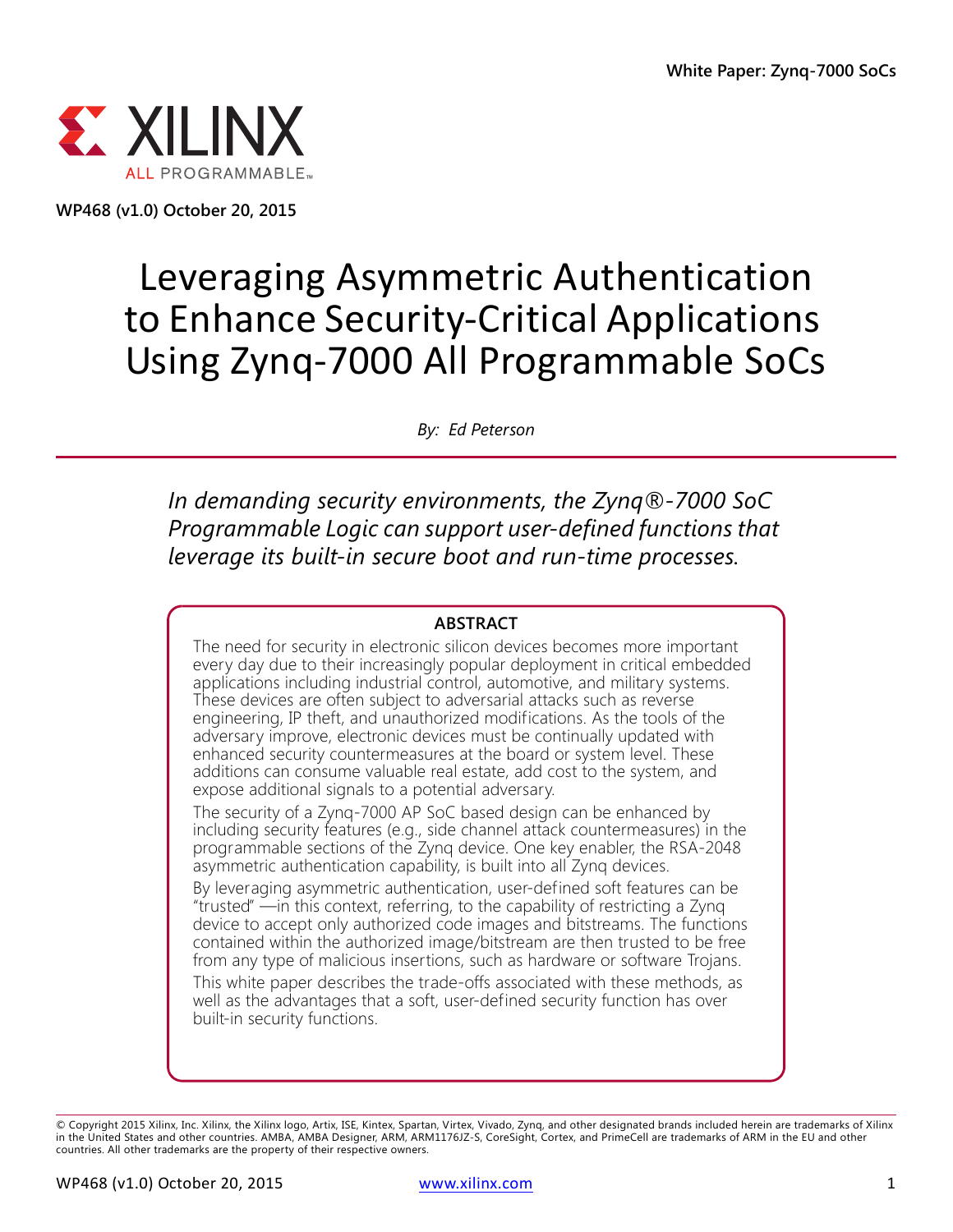

**WP468 (v1.0) October 20, 2015**

# Leveraging Asymmetric Authentication to Enhance Security-Critical Applications Using Zynq-7000 All Programmable SoCs

*By: Ed Peterson*

*In demanding security environments, the Zynq®-7000 SoC Programmable Logic can support user-defined functions that leverage its built-in secure boot and run-time processes.*

#### **ABSTRACT**

The need for security in electronic silicon devices becomes more important every day due to their increasingly popular deployment in critical embedded applications including industrial control, automotive, and military systems. These devices are often subject to adversarial attacks such as reverse engineering, IP theft, and unauthorized modifications. As the tools of the adversary improve, electronic devices must be continually updated with enhanced security countermeasures at the board or system level. These additions can consume valuable real estate, add cost to the system, and expose additional signals to a potential adversary.

The security of a Zynq-7000 AP SoC based design can be enhanced by including security features (e.g., side channel attack countermeasures) in the programmable sections of the Zynq device. One key enabler, the RSA-2048 asymmetric authentication capability, is built into all Zynq devices.

By leveraging asymmetric authentication, user-defined soft features can be "trusted" —in this context, referring, to the capability of restricting a Zynq device to accept only authorized code images and bitstreams. The functions contained within the authorized image/bitstream are then trusted to be free from any type of malicious insertions, such as hardware or software Trojans.

This white paper describes the trade-offs associated with these methods, as well as the advantages that a soft, user-defined security function has over built-in security functions.

<sup>©</sup> Copyright 2015 Xilinx, Inc. Xilinx, the Xilinx logo, Artix, ISE, Kintex, Spartan, Virtex, Vivado, Zynq, and other designated brands included herein are trademarks of Xilinx<br>in the United States and other countries. AMBA, countries. All other trademarks are the property of their respective owners.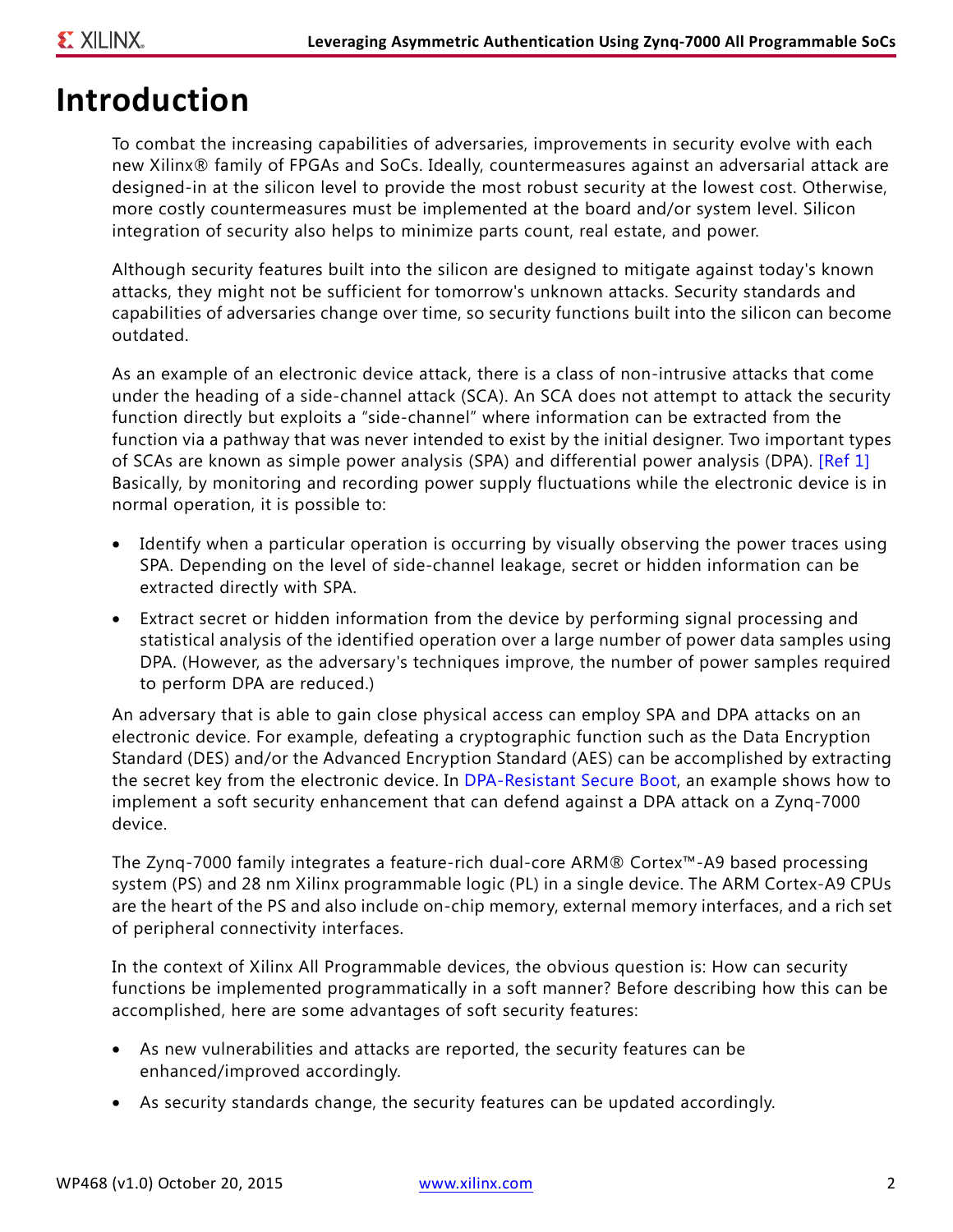### **Introduction**

To combat the increasing capabilities of adversaries, improvements in security evolve with each new Xilinx® family of FPGAs and SoCs. Ideally, countermeasures against an adversarial attack are designed-in at the silicon level to provide the most robust security at the lowest cost. Otherwise, more costly countermeasures must be implemented at the board and/or system level. Silicon integration of security also helps to minimize parts count, real estate, and power.

Although security features built into the silicon are designed to mitigate against today's known attacks, they might not be sufficient for tomorrow's unknown attacks. Security standards and capabilities of adversaries change over time, so security functions built into the silicon can become outdated.

As an example of an electronic device attack, there is a class of non-intrusive attacks that come under the heading of a side-channel attack (SCA). An SCA does not attempt to attack the security function directly but exploits a "side-channel" where information can be extracted from the function via a pathway that was never intended to exist by the initial designer. Two important types of SCAs are known as simple power analysis (SPA) and differential power analysis (DPA). [\[Ref 1\]](#page-10-0) Basically, by monitoring and recording power supply fluctuations while the electronic device is in normal operation, it is possible to:

- Identify when a particular operation is occurring by visually observing the power traces using SPA. Depending on the level of side-channel leakage, secret or hidden information can be extracted directly with SPA.
- Extract secret or hidden information from the device by performing signal processing and statistical analysis of the identified operation over a large number of power data samples using DPA. (However, as the adversary's techniques improve, the number of power samples required to perform DPA are reduced.)

An adversary that is able to gain close physical access can employ SPA and DPA attacks on an electronic device. For example, defeating a cryptographic function such as the Data Encryption Standard (DES) and/or the Advanced Encryption Standard (AES) can be accomplished by extracting the secret key from the electronic device. In [DPA-Resistant Secure Boot](#page-4-0), an example shows how to implement a soft security enhancement that can defend against a DPA attack on a Zynq-7000 device.

The Zynq-7000 family integrates a feature-rich dual-core ARM® Cortex™-A9 based processing system (PS) and 28 nm Xilinx programmable logic (PL) in a single device. The ARM Cortex-A9 CPUs are the heart of the PS and also include on-chip memory, external memory interfaces, and a rich set of peripheral connectivity interfaces.

In the context of Xilinx All Programmable devices, the obvious question is: How can security functions be implemented programmatically in a soft manner? Before describing how this can be accomplished, here are some advantages of soft security features:

- As new vulnerabilities and attacks are reported, the security features can be enhanced/improved accordingly.
- As security standards change, the security features can be updated accordingly.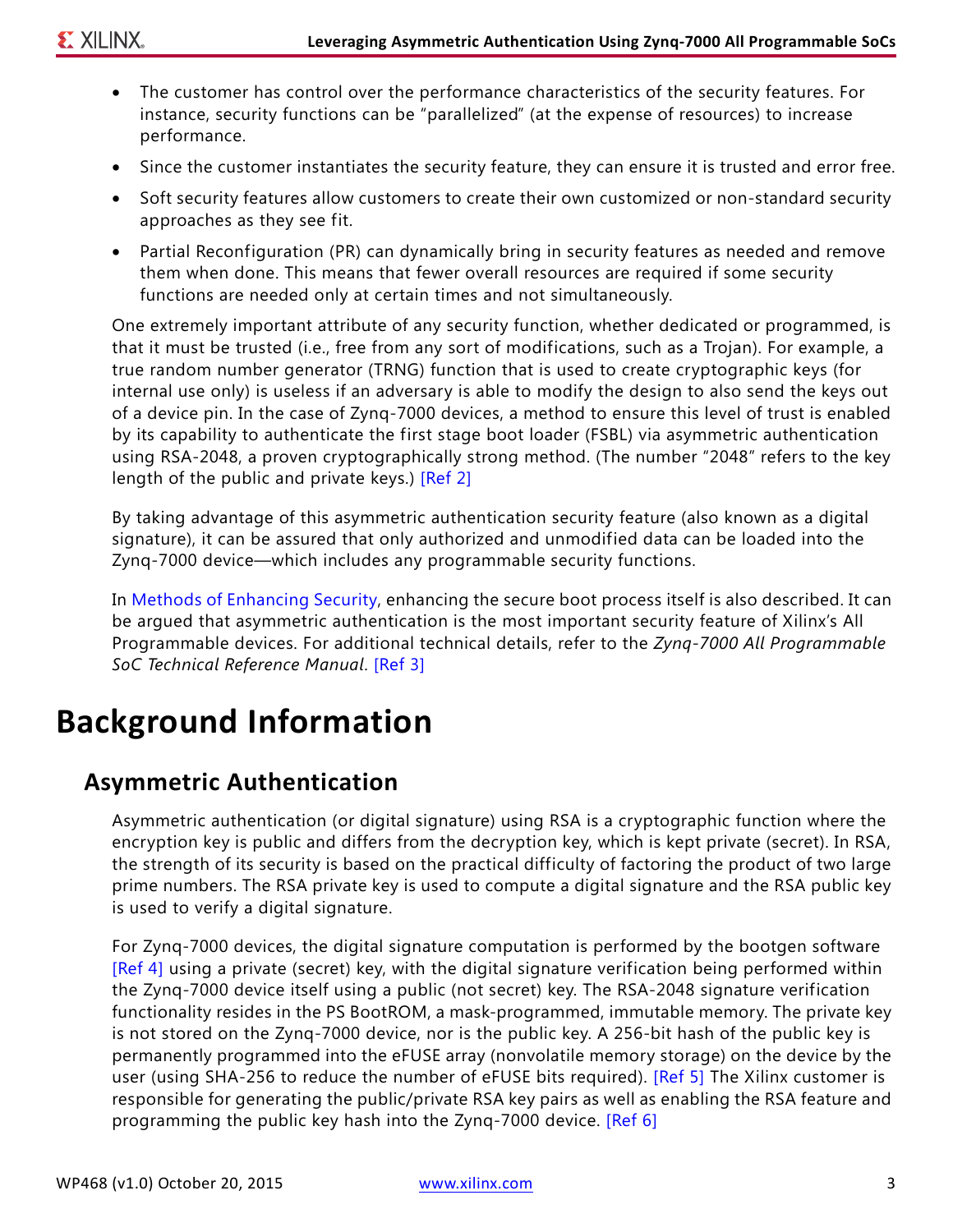- The customer has control over the performance characteristics of the security features. For instance, security functions can be "parallelized" (at the expense of resources) to increase performance.
- Since the customer instantiates the security feature, they can ensure it is trusted and error free.
- Soft security features allow customers to create their own customized or non-standard security approaches as they see fit.
- Partial Reconfiguration (PR) can dynamically bring in security features as needed and remove them when done. This means that fewer overall resources are required if some security functions are needed only at certain times and not simultaneously.

One extremely important attribute of any security function, whether dedicated or programmed, is that it must be trusted (i.e., free from any sort of modifications, such as a Trojan). For example, a true random number generator (TRNG) function that is used to create cryptographic keys (for internal use only) is useless if an adversary is able to modify the design to also send the keys out of a device pin. In the case of Zynq-7000 devices, a method to ensure this level of trust is enabled by its capability to authenticate the first stage boot loader (FSBL) via asymmetric authentication using RSA-2048, a proven cryptographically strong method. (The number "2048" refers to the key length of the public and private keys.) [\[Ref 2\]](#page-10-1)

By taking advantage of this asymmetric authentication security feature (also known as a digital signature), it can be assured that only authorized and unmodified data can be loaded into the Zynq-7000 device—which includes any programmable security functions.

In [Methods of Enhancing Security,](#page-4-1) enhancing the secure boot process itself is also described. It can be argued that asymmetric authentication is the most important security feature of Xilinx's All Programmable devices. For additional technical details, refer to the *Zynq-7000 All Programmable SoC Technical Reference Manual*. [\[Ref 3\]](#page-10-2)

## **Background Information**

### **Asymmetric Authentication**

Asymmetric authentication (or digital signature) using RSA is a cryptographic function where the encryption key is public and differs from the decryption key, which is kept private (secret). In RSA, the strength of its security is based on the practical difficulty of factoring the product of two large prime numbers. The RSA private key is used to compute a digital signature and the RSA public key is used to verify a digital signature.

For Zynq-7000 devices, the digital signature computation is performed by the bootgen software [\[Ref 4\]](#page-10-5) using a private (secret) key, with the digital signature verification being performed within the Zynq-7000 device itself using a public (not secret) key. The RSA-2048 signature verification functionality resides in the PS BootROM, a mask-programmed, immutable memory. The private key is not stored on the Zynq-7000 device, nor is the public key. A 256-bit hash of the public key is permanently programmed into the eFUSE array (nonvolatile memory storage) on the device by the user (using SHA-256 to reduce the number of eFUSE bits required). [\[Ref 5\]](#page-10-3) The Xilinx customer is responsible for generating the public/private RSA key pairs as well as enabling the RSA feature and programming the public key hash into the Zynq-7000 device. [\[Ref 6\]](#page-10-4)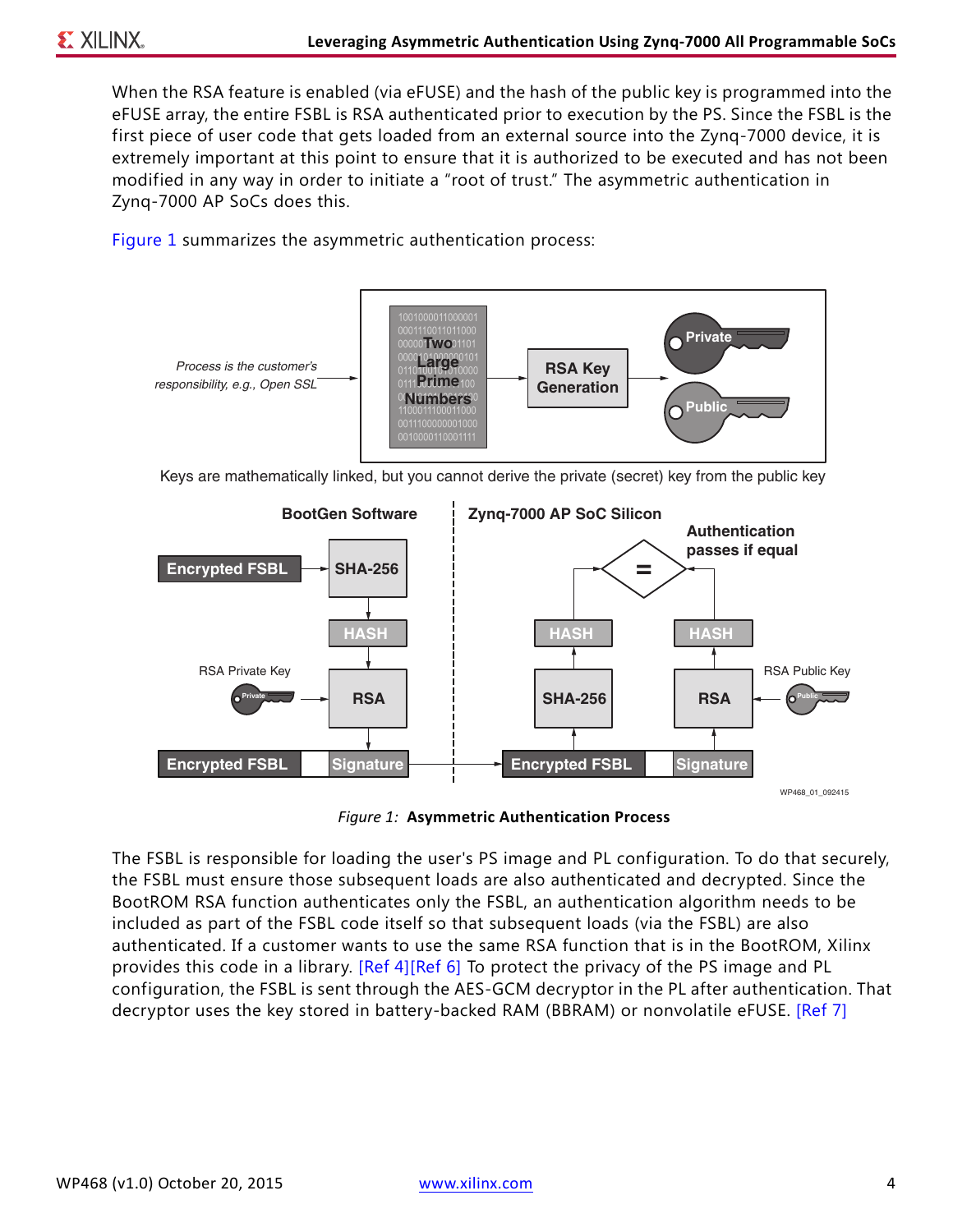When the RSA feature is enabled (via eFUSE) and the hash of the public key is programmed into the eFUSE array, the entire FSBL is RSA authenticated prior to execution by the PS. Since the FSBL is the first piece of user code that gets loaded from an external source into the Zynq-7000 device, it is extremely important at this point to ensure that it is authorized to be executed and has not been modified in any way in order to initiate a "root of trust." The asymmetric authentication in Zynq-7000 AP SoCs does this.

[Figure 1](#page-3-0) summarizes the asymmetric authentication process:

<span id="page-3-0"></span>

Keys are mathematically linked, but you cannot derive the private (secret) key from the public key



*Figure 1:* **Asymmetric Authentication Process**

The FSBL is responsible for loading the user's PS image and PL configuration. To do that securely, the FSBL must ensure those subsequent loads are also authenticated and decrypted. Since the BootROM RSA function authenticates only the FSBL, an authentication algorithm needs to be included as part of the FSBL code itself so that subsequent loads (via the FSBL) are also authenticated. If a customer wants to use the same RSA function that is in the BootROM, Xilinx provides this code in a library. [\[Ref 4\]](#page-10-5)[\[Ref 6\]](#page-10-4) To protect the privacy of the PS image and PL configuration, the FSBL is sent through the AES-GCM decryptor in the PL after authentication. That decryptor uses the key stored in battery-backed RAM (BBRAM) or nonvolatile eFUSE. [\[Ref 7\]](#page-10-6)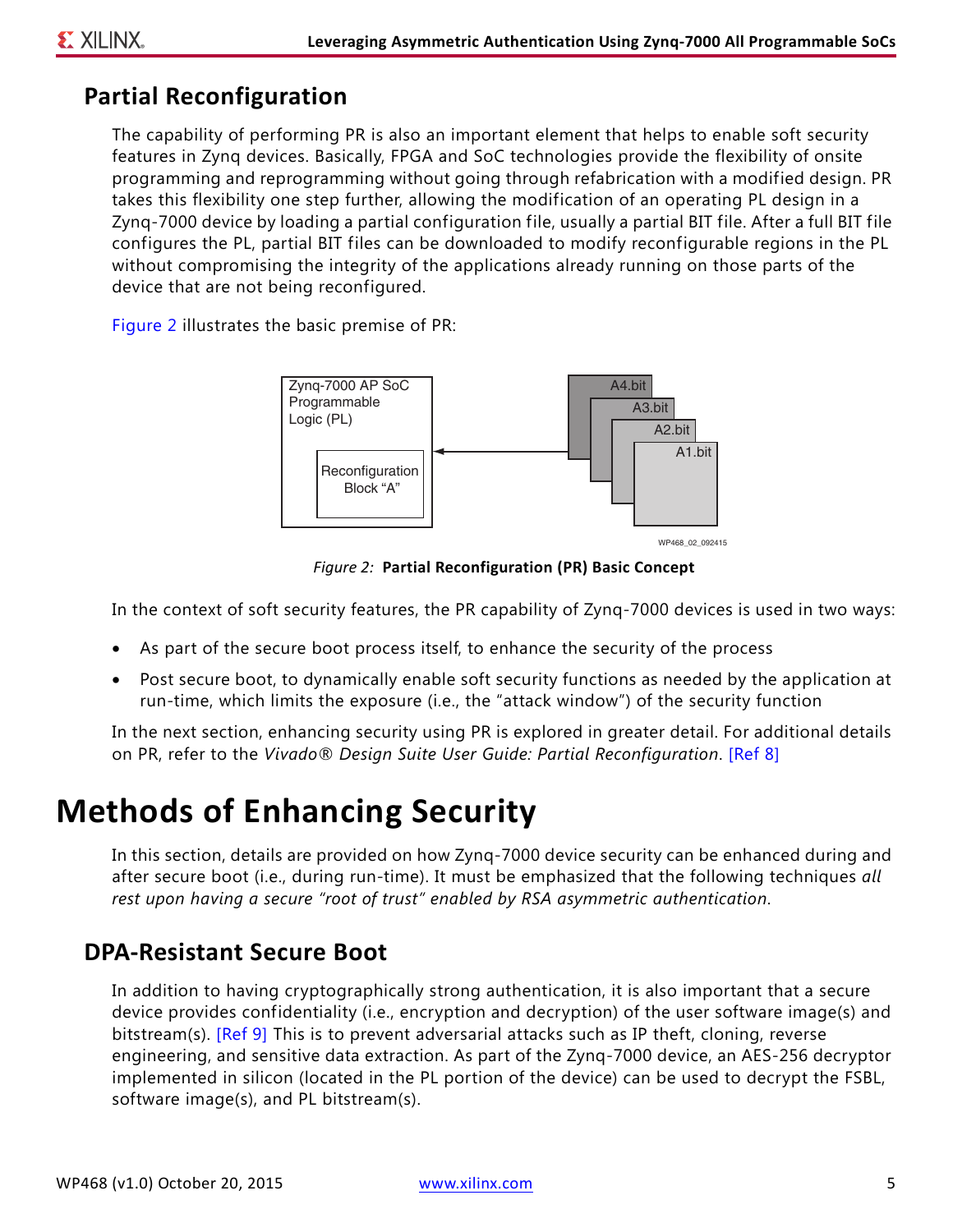### **Partial Reconfiguration**

The capability of performing PR is also an important element that helps to enable soft security features in Zynq devices. Basically, FPGA and SoC technologies provide the flexibility of onsite programming and reprogramming without going through refabrication with a modified design. PR takes this flexibility one step further, allowing the modification of an operating PL design in a Zynq-7000 device by loading a partial configuration file, usually a partial BIT file. After a full BIT file configures the PL, partial BIT files can be downloaded to modify reconfigurable regions in the PL without compromising the integrity of the applications already running on those parts of the device that are not being reconfigured.

<span id="page-4-2"></span>[Figure 2](#page-4-2) illustrates the basic premise of PR:



*Figure 2:* **Partial Reconfiguration (PR) Basic Concept**

In the context of soft security features, the PR capability of Zynq-7000 devices is used in two ways:

- As part of the secure boot process itself, to enhance the security of the process
- Post secure boot, to dynamically enable soft security functions as needed by the application at run-time, which limits the exposure (i.e., the "attack window") of the security function

In the next section, enhancing security using PR is explored in greater detail. For additional details on PR, refer to the *Vivado® Design Suite User Guide: Partial Reconfiguration*. [\[Ref 8\]](#page-10-7)

## <span id="page-4-1"></span>**Methods of Enhancing Security**

In this section, details are provided on how Zynq-7000 device security can be enhanced during and after secure boot (i.e., during run-time). It must be emphasized that the following techniques *all rest upon having a secure "root of trust" enabled by RSA asymmetric authentication*.

### <span id="page-4-0"></span>**DPA-Resistant Secure Boot**

In addition to having cryptographically strong authentication, it is also important that a secure device provides confidentiality (i.e., encryption and decryption) of the user software image(s) and bitstream(s). [\[Ref 9\]](#page-10-8) This is to prevent adversarial attacks such as IP theft, cloning, reverse engineering, and sensitive data extraction. As part of the Zynq-7000 device, an AES-256 decryptor implemented in silicon (located in the PL portion of the device) can be used to decrypt the FSBL, software image(s), and PL bitstream(s).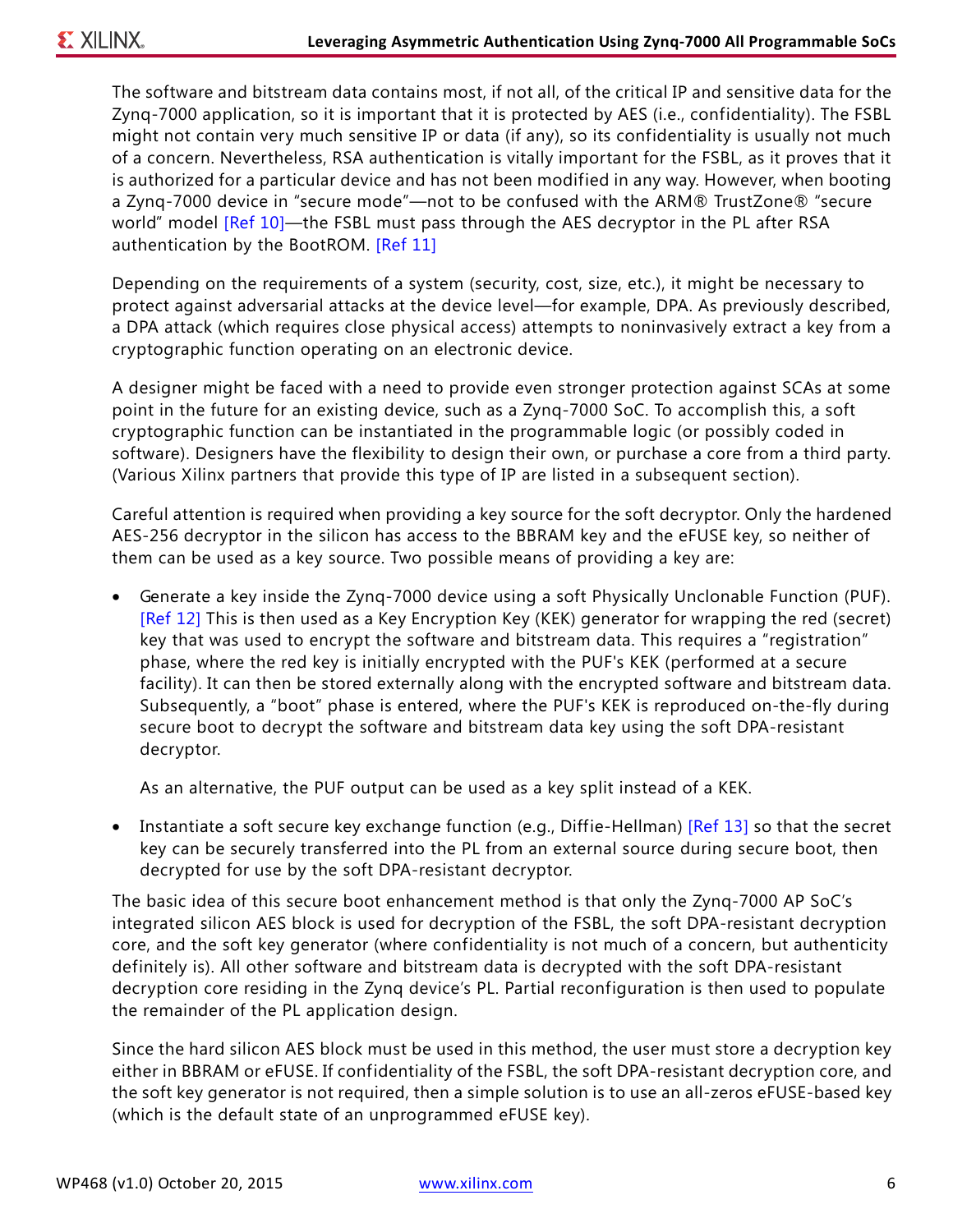The software and bitstream data contains most, if not all, of the critical IP and sensitive data for the Zynq-7000 application, so it is important that it is protected by AES (i.e., confidentiality). The FSBL might not contain very much sensitive IP or data (if any), so its confidentiality is usually not much of a concern. Nevertheless, RSA authentication is vitally important for the FSBL, as it proves that it is authorized for a particular device and has not been modified in any way. However, when booting a Zynq-7000 device in "secure mode"—not to be confused with the ARM® TrustZone® "secure world" model [\[Ref 10\]](#page-10-9)—the FSBL must pass through the AES decryptor in the PL after RSA authentication by the BootROM. [\[Ref 11\]](#page-10-10)

Depending on the requirements of a system (security, cost, size, etc.), it might be necessary to protect against adversarial attacks at the device level—for example, DPA. As previously described, a DPA attack (which requires close physical access) attempts to noninvasively extract a key from a cryptographic function operating on an electronic device.

A designer might be faced with a need to provide even stronger protection against SCAs at some point in the future for an existing device, such as a Zynq-7000 SoC. To accomplish this, a soft cryptographic function can be instantiated in the programmable logic (or possibly coded in software). Designers have the flexibility to design their own, or purchase a core from a third party. (Various Xilinx partners that provide this type of IP are listed in a subsequent section).

Careful attention is required when providing a key source for the soft decryptor. Only the hardened AES-256 decryptor in the silicon has access to the BBRAM key and the eFUSE key, so neither of them can be used as a key source. Two possible means of providing a key are:

• Generate a key inside the Zynq-7000 device using a soft Physically Unclonable Function (PUF). [\[Ref 12\]](#page-10-11) This is then used as a Key Encryption Key (KEK) generator for wrapping the red (secret) key that was used to encrypt the software and bitstream data. This requires a "registration" phase, where the red key is initially encrypted with the PUF's KEK (performed at a secure facility). It can then be stored externally along with the encrypted software and bitstream data. Subsequently, a "boot" phase is entered, where the PUF's KEK is reproduced on-the-fly during secure boot to decrypt the software and bitstream data key using the soft DPA-resistant decryptor.

As an alternative, the PUF output can be used as a key split instead of a KEK.

• Instantiate a soft secure key exchange function (e.g., Diffie-Hellman) [\[Ref 13\]](#page-10-12) so that the secret key can be securely transferred into the PL from an external source during secure boot, then decrypted for use by the soft DPA-resistant decryptor.

The basic idea of this secure boot enhancement method is that only the Zynq-7000 AP SoC's integrated silicon AES block is used for decryption of the FSBL, the soft DPA-resistant decryption core, and the soft key generator (where confidentiality is not much of a concern, but authenticity definitely is). All other software and bitstream data is decrypted with the soft DPA-resistant decryption core residing in the Zynq device's PL. Partial reconfiguration is then used to populate the remainder of the PL application design.

Since the hard silicon AES block must be used in this method, the user must store a decryption key either in BBRAM or eFUSE. If confidentiality of the FSBL, the soft DPA-resistant decryption core, and the soft key generator is not required, then a simple solution is to use an all-zeros eFUSE-based key (which is the default state of an unprogrammed eFUSE key).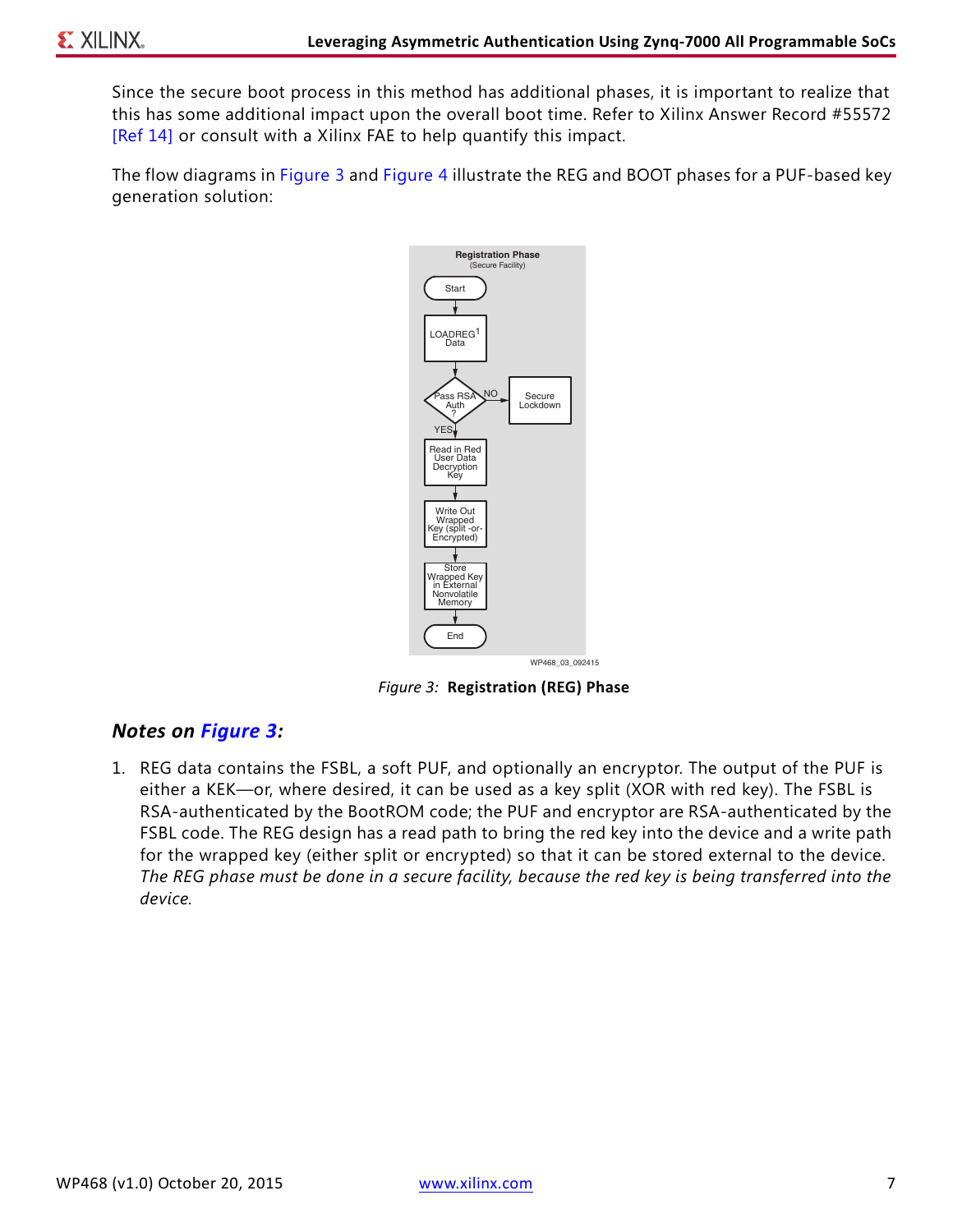Since the secure boot process in this method has additional phases, it is important to realize that this has some additional impact upon the overall boot time. Refer to Xilinx Answer Record #55572 [\[Ref 14\]](#page-10-13) or consult with a Xilinx FAE to help quantify this impact.

<span id="page-6-0"></span>The flow diagrams in [Figure 3](#page-6-0) and [Figure 4](#page-7-0) illustrate the REG and BOOT phases for a PUF-based key generation solution:



*Figure 3:* **Registration (REG) Phase**

#### *Notes on [Figure 3](#page-6-0):*

1. REG data contains the FSBL, a soft PUF, and optionally an encryptor. The output of the PUF is either a KEK—or, where desired, it can be used as a key split (XOR with red key). The FSBL is RSA-authenticated by the BootROM code; the PUF and encryptor are RSA-authenticated by the FSBL code. The REG design has a read path to bring the red key into the device and a write path for the wrapped key (either split or encrypted) so that it can be stored external to the device. *The REG phase must be done in a secure facility, because the red key is being transferred into the device.*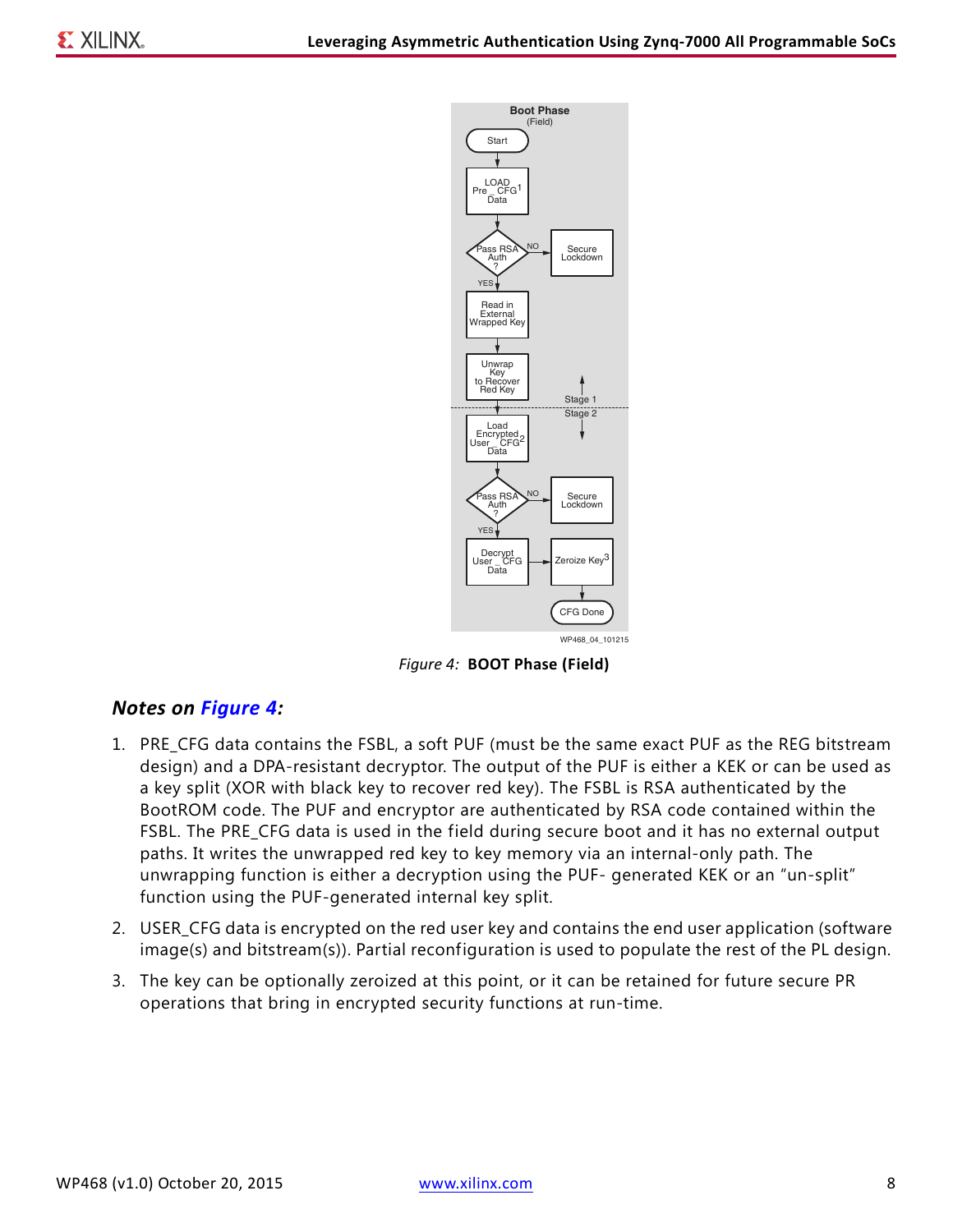<span id="page-7-0"></span>

*Figure 4:* **BOOT Phase (Field)**

#### *Notes on [Figure 4](#page-7-0):*

- 1. PRE\_CFG data contains the FSBL, a soft PUF (must be the same exact PUF as the REG bitstream design) and a DPA-resistant decryptor. The output of the PUF is either a KEK or can be used as a key split (XOR with black key to recover red key). The FSBL is RSA authenticated by the BootROM code. The PUF and encryptor are authenticated by RSA code contained within the FSBL. The PRE\_CFG data is used in the field during secure boot and it has no external output paths. It writes the unwrapped red key to key memory via an internal-only path. The unwrapping function is either a decryption using the PUF- generated KEK or an "un-split" function using the PUF-generated internal key split.
- 2. USER\_CFG data is encrypted on the red user key and contains the end user application (software image(s) and bitstream(s)). Partial reconfiguration is used to populate the rest of the PL design.
- 3. The key can be optionally zeroized at this point, or it can be retained for future secure PR operations that bring in encrypted security functions at run-time.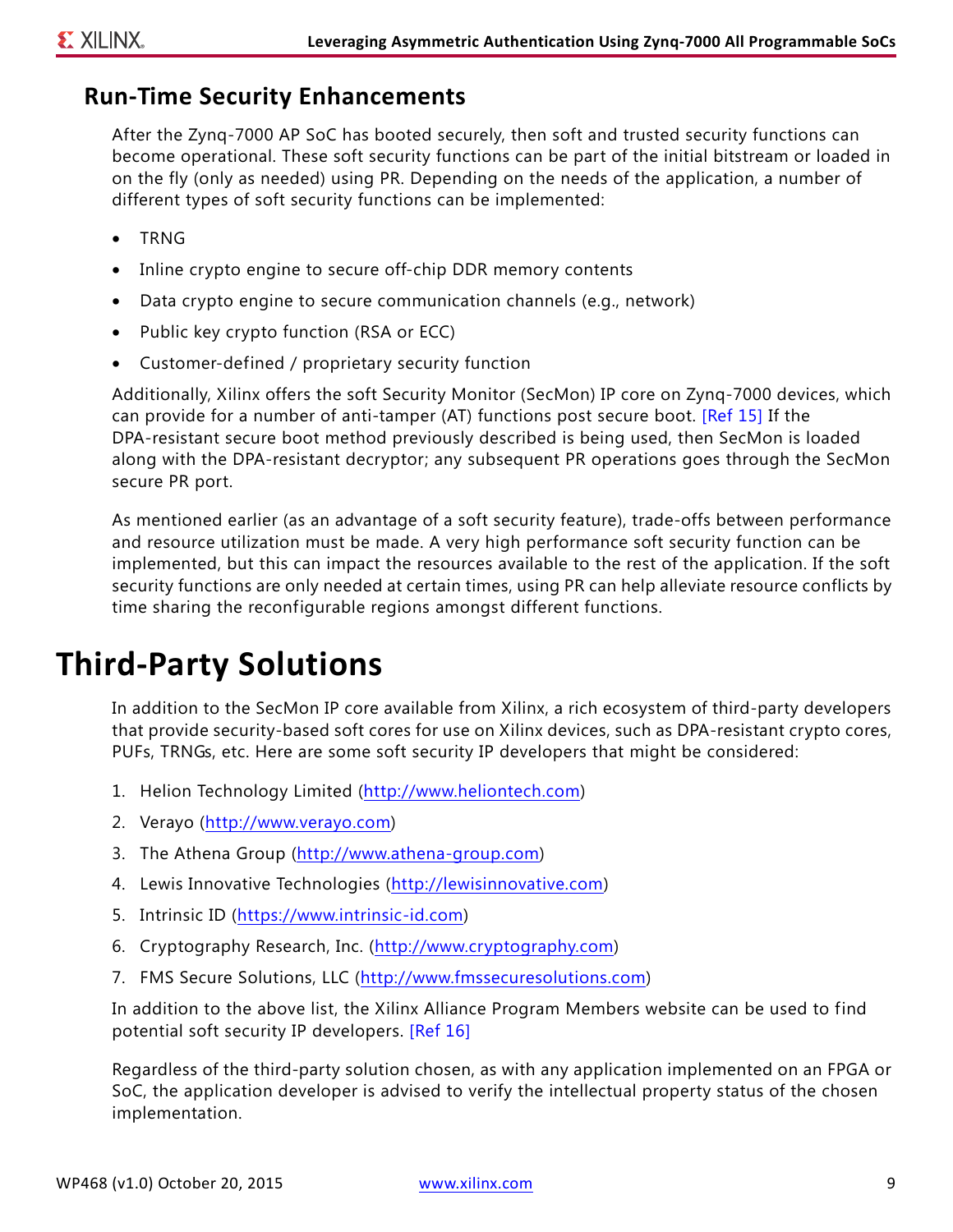### **Run-Time Security Enhancements**

After the Zynq-7000 AP SoC has booted securely, then soft and trusted security functions can become operational. These soft security functions can be part of the initial bitstream or loaded in on the fly (only as needed) using PR. Depending on the needs of the application, a number of different types of soft security functions can be implemented:

- TRNG
- Inline crypto engine to secure off-chip DDR memory contents
- Data crypto engine to secure communication channels (e.g., network)
- Public key crypto function (RSA or ECC)
- Customer-defined / proprietary security function

Additionally, Xilinx offers the soft Security Monitor (SecMon) IP core on Zynq-7000 devices, which can provide for a number of anti-tamper (AT) functions post secure boot. [\[Ref 15\]](#page-10-15) If the DPA-resistant secure boot method previously described is being used, then SecMon is loaded along with the DPA-resistant decryptor; any subsequent PR operations goes through the SecMon secure PR port.

As mentioned earlier (as an advantage of a soft security feature), trade-offs between performance and resource utilization must be made. A very high performance soft security function can be implemented, but this can impact the resources available to the rest of the application. If the soft security functions are only needed at certain times, using PR can help alleviate resource conflicts by time sharing the reconfigurable regions amongst different functions.

### **Third-Party Solutions**

In addition to the SecMon IP core available from Xilinx, a rich ecosystem of third-party developers that provide security-based soft cores for use on Xilinx devices, such as DPA-resistant crypto cores, PUFs, TRNGs, etc. Here are some soft security IP developers that might be considered:

- 1. Helion Technology Limited ([http://www.heliontech.com\)](http://www.heliontech.com)
- 2. Verayo (<http://www.verayo.com>)
- 3. The Athena Group ([http://www.athena-group.com\)](http://www.athena-group.com)
- 4. Lewis Innovative Technologies [\(http://lewisinnovative.com\)](http://lewisinnovative.com)
- 5. Intrinsic ID ([https://www.intrinsic-id.com\)](https://www.intrinsic-id.com)
- 6. Cryptography Research, Inc. ([http://www.cryptography.com](http://www.cryptography.com/))
- 7. FMS Secure Solutions, LLC (<http://www.fmssecuresolutions.com>)

In addition to the above list, the Xilinx Alliance Program Members website can be used to find potential soft security IP developers. [\[Ref 16\]](#page-10-14)

Regardless of the third-party solution chosen, as with any application implemented on an FPGA or SoC, the application developer is advised to verify the intellectual property status of the chosen implementation.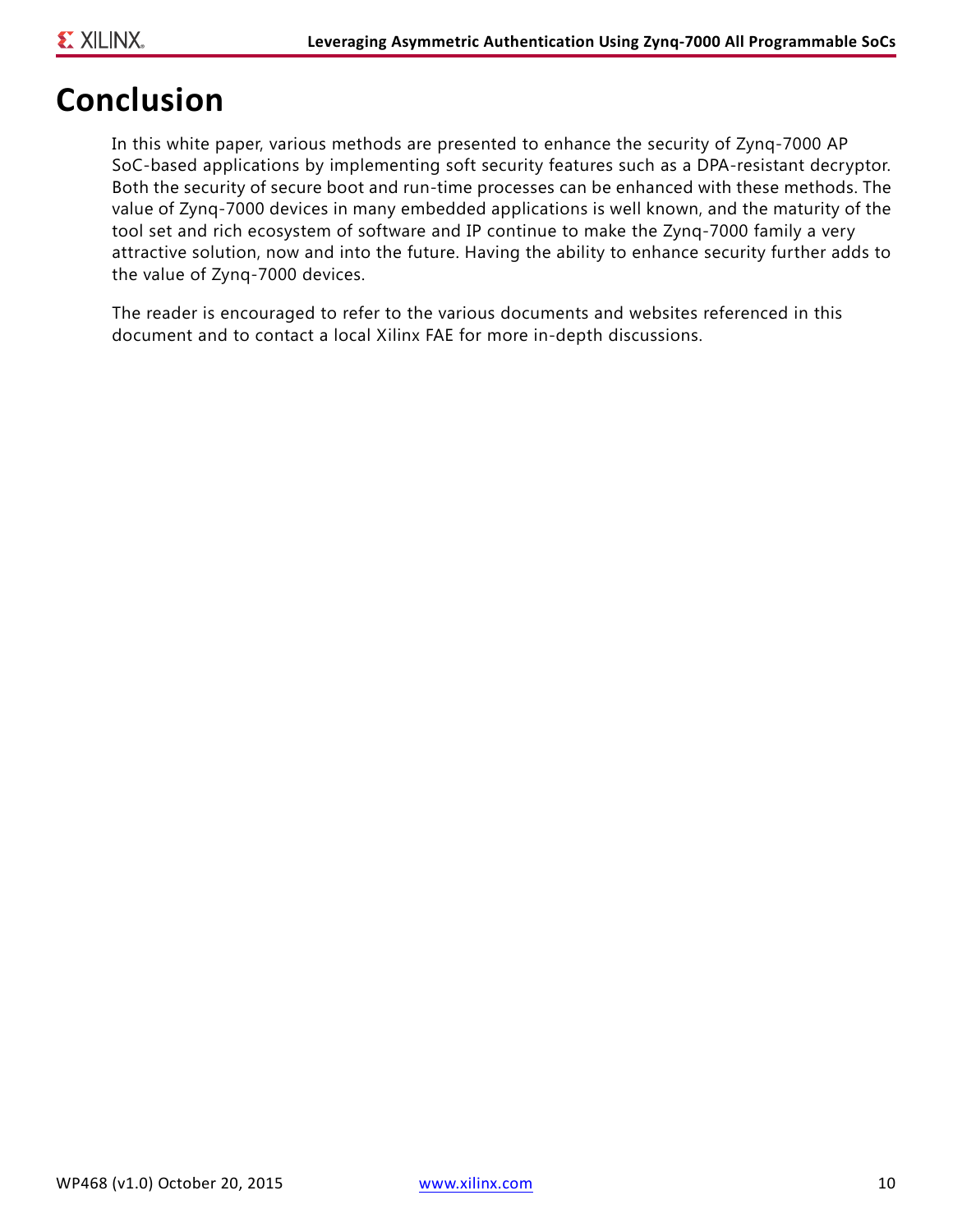### **Conclusion**

In this white paper, various methods are presented to enhance the security of Zynq-7000 AP SoC-based applications by implementing soft security features such as a DPA-resistant decryptor. Both the security of secure boot and run-time processes can be enhanced with these methods. The value of Zynq-7000 devices in many embedded applications is well known, and the maturity of the tool set and rich ecosystem of software and IP continue to make the Zynq-7000 family a very attractive solution, now and into the future. Having the ability to enhance security further adds to the value of Zynq-7000 devices.

The reader is encouraged to refer to the various documents and websites referenced in this document and to contact a local Xilinx FAE for more in-depth discussions.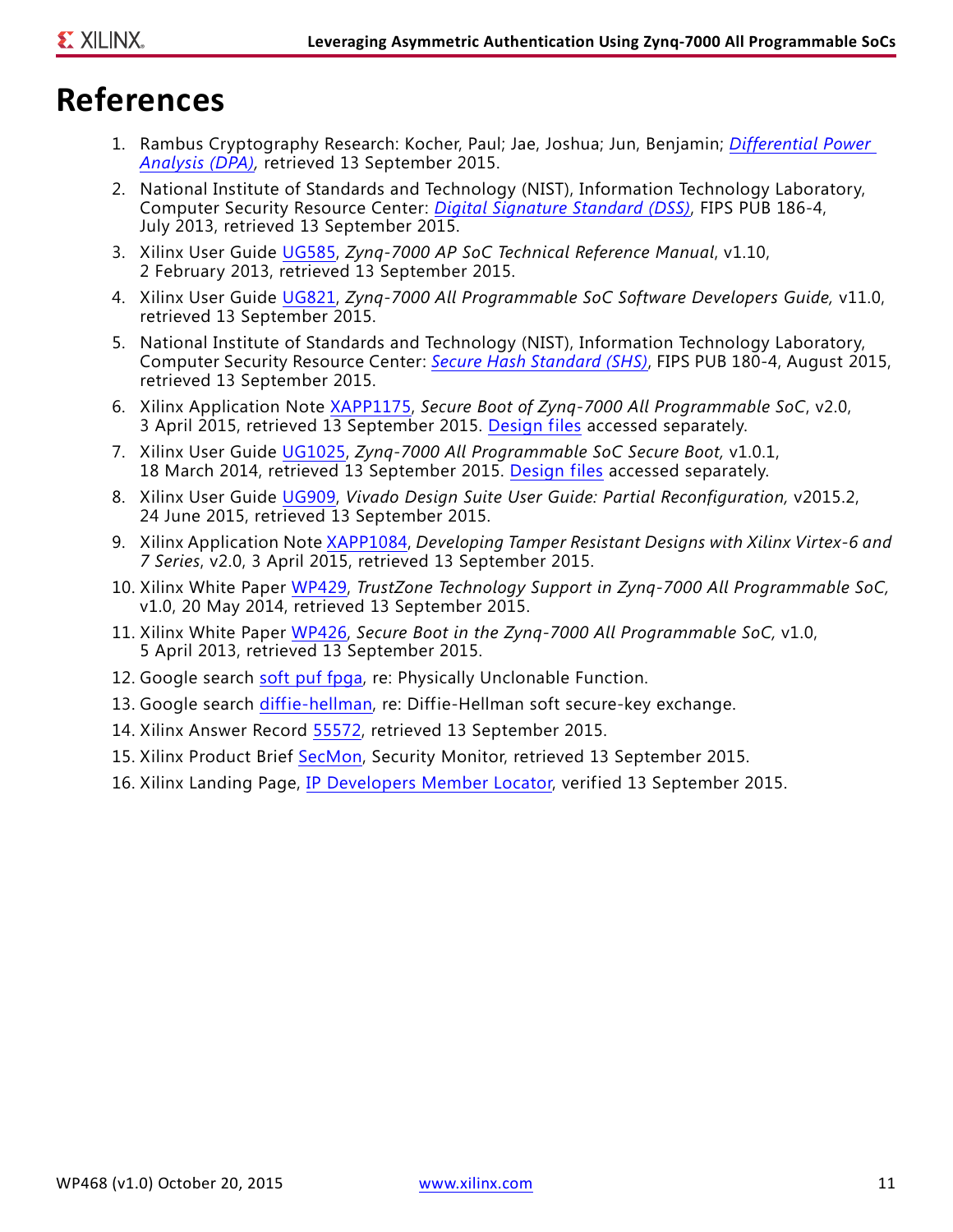### **References**

- <span id="page-10-0"></span>1. Rambus Cryptography Research: Kocher, Paul; Jae, Joshua; Jun, Benjamin; *[Differential Power](http://www.rambus.com/differential-power-analysis/)  [Analysis \(DPA\),](http://www.rambus.com/differential-power-analysis/)* retrieved 13 September 2015.
- <span id="page-10-1"></span>2. National Institute of Standards and Technology (NIST), Information Technology Laboratory, Computer Security Resource Center: *[Digital Signature Standard \(DSS\)](http://nvlpubs.nist.gov/nistpubs/FIPS/NIST.FIPS.186-4.pdf)*, FIPS PUB 186-4, July 2013, retrieved 13 September 2015.
- <span id="page-10-2"></span>3. Xilinx User Guide [UG585](http://www.xilinx.com/support/documentation/user_guides/ug585-Zynq-7000-TRM.pdf), *Zynq-7000 AP SoC Technical Reference Manual*, v1.10, 2 February 2013, retrieved 13 September 2015.
- <span id="page-10-5"></span>4. Xilinx User Guide [UG821](http://www.xilinx.com/support/documentation/user_guides/ug585-Zynq-7000-TRM.pdf), *Zynq-7000 All Programmable SoC Software Developers Guide,* v11.0, retrieved 13 September 2015.
- <span id="page-10-3"></span>5. National Institute of Standards and Technology (NIST), Information Technology Laboratory, Computer Security Resource Center: *[Secure Hash Standard \(SHS\)](http://nvlpubs.nist.gov/nistpubs/FIPS/NIST.FIPS.180-4.pdf)*, FIPS PUB 180-4, August 2015, retrieved 13 September 2015.
- <span id="page-10-4"></span>6. Xilinx Application Note [XAPP1175](http://www.xilinx.com/support/documentation/application_notes/xapp1175_zynq_secure_boot.pdf), *Secure Boot of Zynq-7000 All Programmable SoC*, v2.0, 3 April 2015, retrieved 13 September 2015. [Design files](https://secure.xilinx.com/webreg/clickthrough.do?cid=339774&license=RefDesLicense&filename=xapp1175.zip&languageID=1) accessed separately.
- <span id="page-10-6"></span>7. Xilinx User Guide [UG1025](http://www.xilinx.com/support/documentation/user_guides/ug1025-zynq-secure-boot-gsg.pdf), *Zynq-7000 All Programmable SoC Secure Boot,* v1.0.1, 18 March 2014, retrieved 13 September 2015. [Design files](https://secure.xilinx.com/webreg/clickthrough.do?cid=345331&license=RefDesLicense&filename=ug1025.zip&languageID=1) accessed separately.
- <span id="page-10-7"></span>8. Xilinx User Guide [UG909](http://www.xilinx.com/support/documentation/sw_manuals/xilinx2015_2/ug909-vivado-partial-reconfiguration.pdf), *Vivado Design Suite User Guide: Partial Reconfiguration,* v2015.2, 24 June 2015, retrieved 13 September 2015.
- <span id="page-10-8"></span>9. Xilinx Application Note [XAPP1084](http://www.xilinx.com/support/documentation/application_notes/xapp1084_tamp_resist_dsgns.pdf), *Developing Tamper Resistant Designs with Xilinx Virtex-6 and 7 Series*, v2.0, 3 April 2015, retrieved 13 September 2015.
- <span id="page-10-9"></span>10. Xilinx White Paper [WP429](http://www.xilinx.com/support/documentation/white_papers/wp429-trustzone-zynq.pdf), *TrustZone Technology Support in Zynq-7000 All Programmable SoC,* v1.0, 20 May 2014, retrieved 13 September 2015.
- <span id="page-10-10"></span>11. Xilinx White Paper [WP426](http://www.xilinx.com/support/documentation/white_papers/wp426-zynq-7000-secure-boot.pdf), *Secure Boot in the Zynq-7000 All Programmable SoC,* v1.0, 5 April 2013, retrieved 13 September 2015.
- <span id="page-10-11"></span>12. Google search [soft puf fpga](https://www.google.com/search?q=soft+puf+fpga), re: Physically Unclonable Function.
- <span id="page-10-12"></span>13. Google search [diffie-hellman,](https://www.google.com/search?q=diffie-hellman) re: Diffie-Hellman soft secure-key exchange.
- <span id="page-10-13"></span>14. Xilinx Answer Record [55572](http://www.xilinx.com/support/answers/55572.html), retrieved 13 September 2015.
- <span id="page-10-15"></span>15. Xilinx Product Brief [SecMon,](http://www.xilinx.com/support/documentation/product-briefs/security-monitor-ip-core-product-brief.pdf) Security Monitor, retrieved 13 September 2015.
- <span id="page-10-14"></span>16. Xilinx Landing Page, [IP Developers Member Locator,](http://www.xilinx.com/alliance/memberlocator.html) verified 13 September 2015.